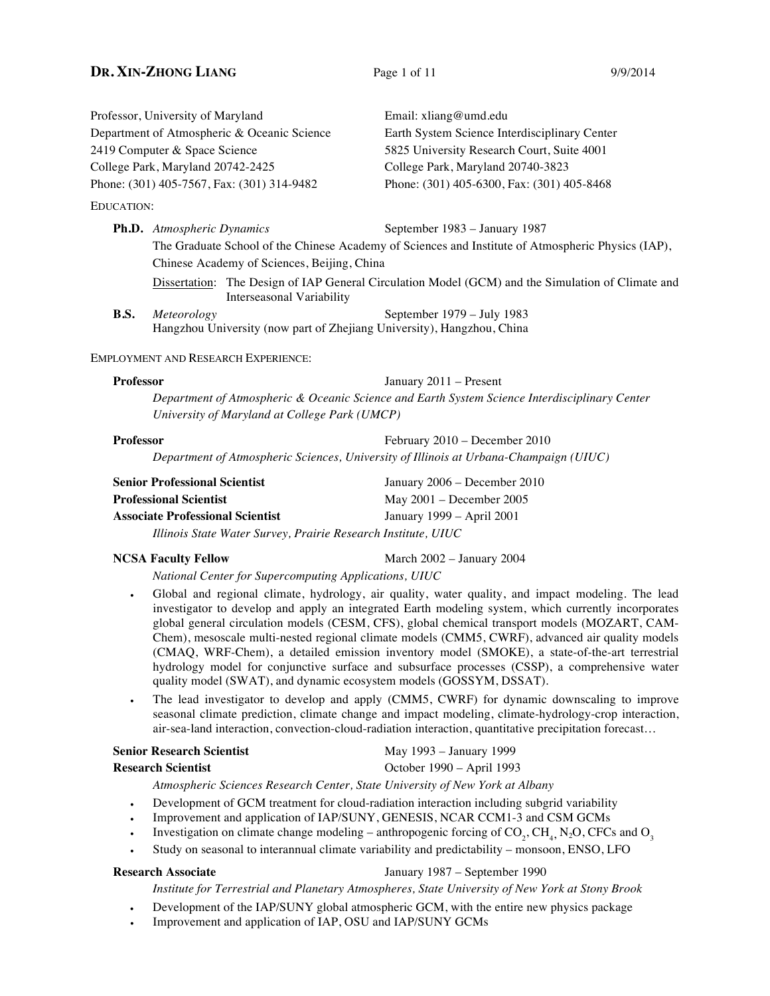# **DR.** XIN-ZHONG LIANG Page 1 of 11 9/9/2014

Professor, University of Maryland Email: xliang@umd.edu Department of Atmospheric & Oceanic Science Earth System Science Interdisciplinary Center 2419 Computer & Space Science 5825 University Research Court, Suite 4001 College Park, Maryland 20742-2425 College Park, Maryland 20740-3823 Phone: (301) 405-7567, Fax: (301) 314-9482 Phone: (301) 405-6300, Fax: (301) 405-8468 EDUCATION:

**Ph.D.** *Atmospheric Dynamics* September 1983 – January 1987 The Graduate School of the Chinese Academy of Sciences and Institute of Atmospheric Physics (IAP), Chinese Academy of Sciences, Beijing, China Dissertation: The Design of IAP General Circulation Model (GCM) and the Simulation of Climate and Interseasonal Variability **B.S.** *Meteorology* September 1979 – July 1983

Hangzhou University (now part of Zhejiang University), Hangzhou, China

### EMPLOYMENT AND RESEARCH EXPERIENCE:

**Professor** January 2011 – Present *Department of Atmospheric & Oceanic Science and Earth System Science Interdisciplinary Center University of Maryland at College Park (UMCP)*

| Professor | February 2010 – December 2010                                                         |
|-----------|---------------------------------------------------------------------------------------|
|           | Department of Atmospheric Sciences, University of Illinois at Urbana-Champaign (UIUC) |

| <b>Senior Professional Scientist</b>                          | January 2006 – December 2010 |  |  |  |  |  |
|---------------------------------------------------------------|------------------------------|--|--|--|--|--|
| <b>Professional Scientist</b>                                 | May $2001 -$ December $2005$ |  |  |  |  |  |
| <b>Associate Professional Scientist</b>                       | January 1999 – April 2001    |  |  |  |  |  |
| Illinois State Water Survey, Prairie Research Institute, UIUC |                              |  |  |  |  |  |

**NCSA Faculty Fellow** March 2002 – January 2004

*National Center for Supercomputing Applications, UIUC*

- Global and regional climate, hydrology, air quality, water quality, and impact modeling. The lead investigator to develop and apply an integrated Earth modeling system, which currently incorporates global general circulation models (CESM, CFS), global chemical transport models (MOZART, CAM-Chem), mesoscale multi-nested regional climate models (CMM5, CWRF), advanced air quality models (CMAQ, WRF-Chem), a detailed emission inventory model (SMOKE), a state-of-the-art terrestrial hydrology model for conjunctive surface and subsurface processes (CSSP), a comprehensive water quality model (SWAT), and dynamic ecosystem models (GOSSYM, DSSAT).
- The lead investigator to develop and apply (CMM5, CWRF) for dynamic downscaling to improve seasonal climate prediction, climate change and impact modeling, climate-hydrology-crop interaction, air-sea-land interaction, convection-cloud-radiation interaction, quantitative precipitation forecast…

| Senior Research Scientist |  |  |  |  |  |  |  | May 1993 – January 1999 |  |                                                                                                                                                                                                                                                                                                                                                                                      |  |  |  |  |  |  |
|---------------------------|--|--|--|--|--|--|--|-------------------------|--|--------------------------------------------------------------------------------------------------------------------------------------------------------------------------------------------------------------------------------------------------------------------------------------------------------------------------------------------------------------------------------------|--|--|--|--|--|--|
| <b>Research Scientist</b> |  |  |  |  |  |  |  |                         |  | October 1990 – April 1993                                                                                                                                                                                                                                                                                                                                                            |  |  |  |  |  |  |
|                           |  |  |  |  |  |  |  |                         |  | $\overline{1}$ $\overline{1}$ $\overline{1}$ $\overline{1}$ $\overline{1}$ $\overline{1}$ $\overline{1}$ $\overline{1}$ $\overline{1}$ $\overline{1}$ $\overline{1}$ $\overline{1}$ $\overline{1}$ $\overline{1}$ $\overline{1}$ $\overline{1}$ $\overline{1}$ $\overline{1}$ $\overline{1}$ $\overline{1}$ $\overline{1}$ $\overline{1}$ $\overline{1}$ $\overline{1}$ $\overline{$ |  |  |  |  |  |  |

*Atmospheric Sciences Research Center, State University of New York at Albany*

- Development of GCM treatment for cloud-radiation interaction including subgrid variability
- Improvement and application of IAP/SUNY, GENESIS, NCAR CCM1-3 and CSM GCMs
- Investigation on climate change modeling anthropogenic forcing of  $CO_2$ , CH<sub>4</sub>, N<sub>2</sub>O, CFCs and O<sub>3</sub>
- Study on seasonal to interannual climate variability and predictability monsoon, ENSO, LFO

# **Research Associate** January 1987 – September 1990

*Institute for Terrestrial and Planetary Atmospheres, State University of New York at Stony Brook*

- Development of the IAP/SUNY global atmospheric GCM, with the entire new physics package
- Improvement and application of IAP, OSU and IAP/SUNY GCMs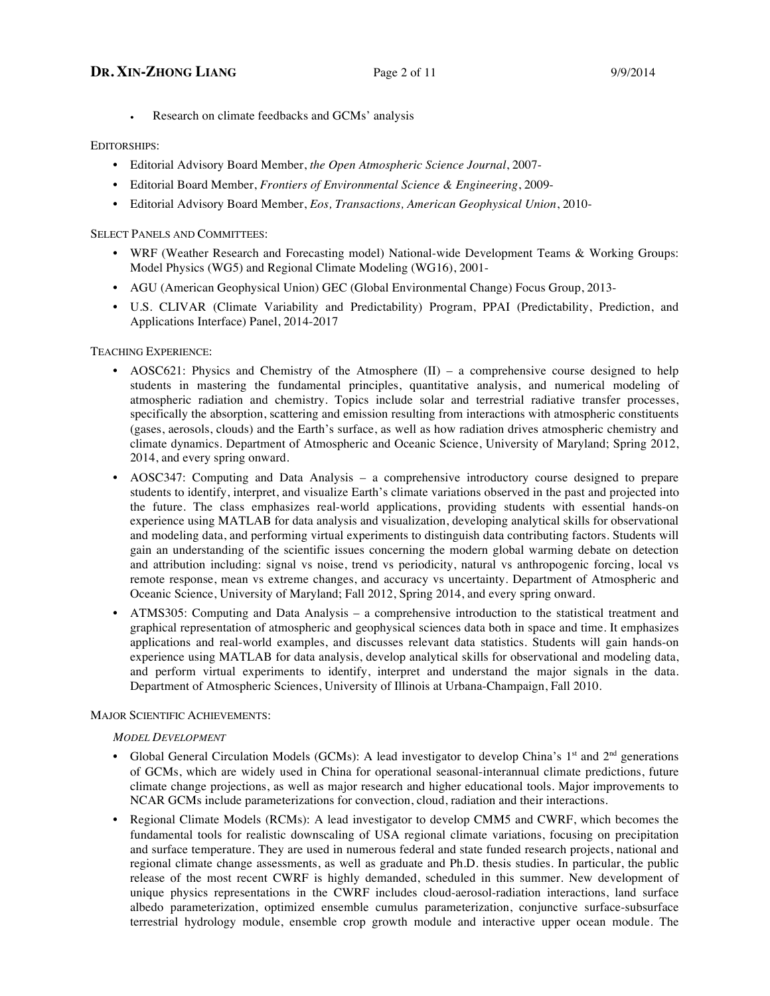Research on climate feedbacks and GCMs' analysis

# EDITORSHIPS:

- Editorial Advisory Board Member, *the Open Atmospheric Science Journal*, 2007-
- Editorial Board Member, *Frontiers of Environmental Science & Engineering*, 2009-
- Editorial Advisory Board Member, *Eos, Transactions, American Geophysical Union*, 2010-

SELECT PANELS AND COMMITTEES:

- WRF (Weather Research and Forecasting model) National-wide Development Teams & Working Groups: Model Physics (WG5) and Regional Climate Modeling (WG16), 2001-
- AGU (American Geophysical Union) GEC (Global Environmental Change) Focus Group, 2013-
- U.S. CLIVAR (Climate Variability and Predictability) Program, PPAI (Predictability, Prediction, and Applications Interface) Panel, 2014-2017

TEACHING EXPERIENCE:

- AOSC621: Physics and Chemistry of the Atmosphere (II) a comprehensive course designed to help students in mastering the fundamental principles, quantitative analysis, and numerical modeling of atmospheric radiation and chemistry. Topics include solar and terrestrial radiative transfer processes, specifically the absorption, scattering and emission resulting from interactions with atmospheric constituents (gases, aerosols, clouds) and the Earth's surface, as well as how radiation drives atmospheric chemistry and climate dynamics. Department of Atmospheric and Oceanic Science, University of Maryland; Spring 2012, 2014, and every spring onward.
- AOSC347: Computing and Data Analysis a comprehensive introductory course designed to prepare students to identify, interpret, and visualize Earth's climate variations observed in the past and projected into the future. The class emphasizes real-world applications, providing students with essential hands-on experience using MATLAB for data analysis and visualization, developing analytical skills for observational and modeling data, and performing virtual experiments to distinguish data contributing factors. Students will gain an understanding of the scientific issues concerning the modern global warming debate on detection and attribution including: signal vs noise, trend vs periodicity, natural vs anthropogenic forcing, local vs remote response, mean vs extreme changes, and accuracy vs uncertainty. Department of Atmospheric and Oceanic Science, University of Maryland; Fall 2012, Spring 2014, and every spring onward.
- ATMS305: Computing and Data Analysis a comprehensive introduction to the statistical treatment and graphical representation of atmospheric and geophysical sciences data both in space and time. It emphasizes applications and real-world examples, and discusses relevant data statistics. Students will gain hands-on experience using MATLAB for data analysis, develop analytical skills for observational and modeling data, and perform virtual experiments to identify, interpret and understand the major signals in the data. Department of Atmospheric Sciences, University of Illinois at Urbana-Champaign, Fall 2010.

### MAJOR SCIENTIFIC ACHIEVEMENTS:

### *MODEL DEVELOPMENT*

- Global General Circulation Models (GCMs): A lead investigator to develop China's  $1<sup>st</sup>$  and  $2<sup>nd</sup>$  generations of GCMs, which are widely used in China for operational seasonal-interannual climate predictions, future climate change projections, as well as major research and higher educational tools. Major improvements to NCAR GCMs include parameterizations for convection, cloud, radiation and their interactions.
- Regional Climate Models (RCMs): A lead investigator to develop CMM5 and CWRF, which becomes the fundamental tools for realistic downscaling of USA regional climate variations, focusing on precipitation and surface temperature. They are used in numerous federal and state funded research projects, national and regional climate change assessments, as well as graduate and Ph.D. thesis studies. In particular, the public release of the most recent CWRF is highly demanded, scheduled in this summer. New development of unique physics representations in the CWRF includes cloud-aerosol-radiation interactions, land surface albedo parameterization, optimized ensemble cumulus parameterization, conjunctive surface-subsurface terrestrial hydrology module, ensemble crop growth module and interactive upper ocean module. The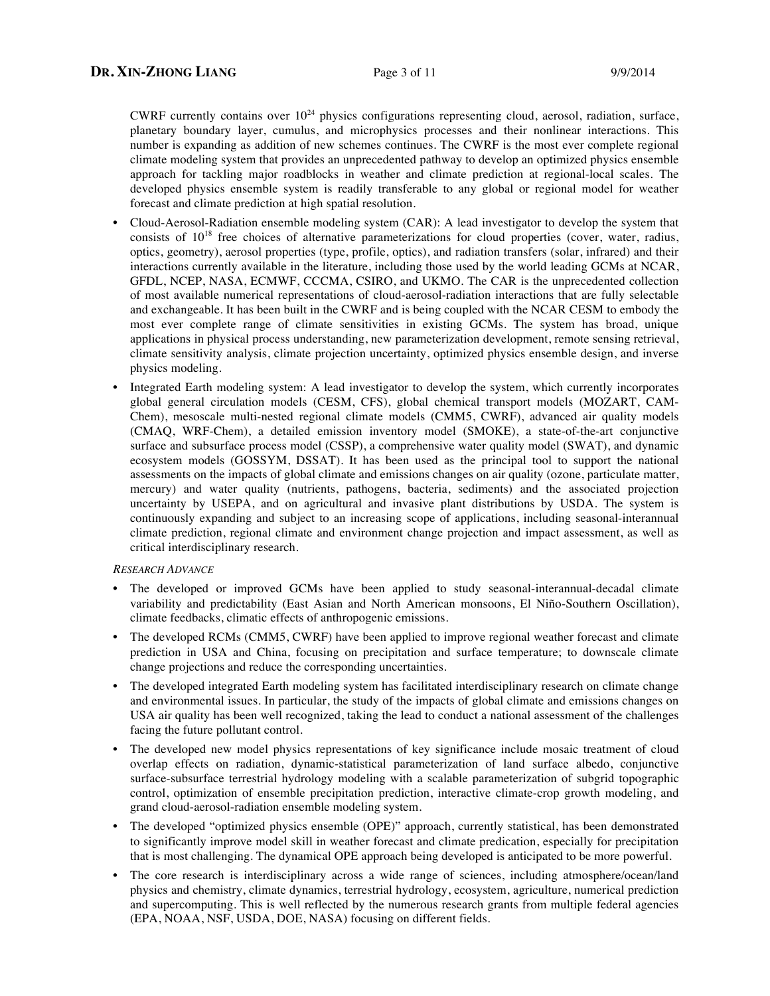CWRF currently contains over  $10^{24}$  physics configurations representing cloud, aerosol, radiation, surface, planetary boundary layer, cumulus, and microphysics processes and their nonlinear interactions. This number is expanding as addition of new schemes continues. The CWRF is the most ever complete regional climate modeling system that provides an unprecedented pathway to develop an optimized physics ensemble approach for tackling major roadblocks in weather and climate prediction at regional-local scales. The developed physics ensemble system is readily transferable to any global or regional model for weather forecast and climate prediction at high spatial resolution.

- Cloud-Aerosol-Radiation ensemble modeling system (CAR): A lead investigator to develop the system that consists of  $10^{18}$  free choices of alternative parameterizations for cloud properties (cover, water, radius, optics, geometry), aerosol properties (type, profile, optics), and radiation transfers (solar, infrared) and their interactions currently available in the literature, including those used by the world leading GCMs at NCAR, GFDL, NCEP, NASA, ECMWF, CCCMA, CSIRO, and UKMO. The CAR is the unprecedented collection of most available numerical representations of cloud-aerosol-radiation interactions that are fully selectable and exchangeable. It has been built in the CWRF and is being coupled with the NCAR CESM to embody the most ever complete range of climate sensitivities in existing GCMs. The system has broad, unique applications in physical process understanding, new parameterization development, remote sensing retrieval, climate sensitivity analysis, climate projection uncertainty, optimized physics ensemble design, and inverse physics modeling.
- Integrated Earth modeling system: A lead investigator to develop the system, which currently incorporates global general circulation models (CESM, CFS), global chemical transport models (MOZART, CAM-Chem), mesoscale multi-nested regional climate models (CMM5, CWRF), advanced air quality models (CMAQ, WRF-Chem), a detailed emission inventory model (SMOKE), a state-of-the-art conjunctive surface and subsurface process model (CSSP), a comprehensive water quality model (SWAT), and dynamic ecosystem models (GOSSYM, DSSAT). It has been used as the principal tool to support the national assessments on the impacts of global climate and emissions changes on air quality (ozone, particulate matter, mercury) and water quality (nutrients, pathogens, bacteria, sediments) and the associated projection uncertainty by USEPA, and on agricultural and invasive plant distributions by USDA. The system is continuously expanding and subject to an increasing scope of applications, including seasonal-interannual climate prediction, regional climate and environment change projection and impact assessment, as well as critical interdisciplinary research.

#### *RESEARCH ADVANCE*

- The developed or improved GCMs have been applied to study seasonal-interannual-decadal climate variability and predictability (East Asian and North American monsoons, El Niño-Southern Oscillation), climate feedbacks, climatic effects of anthropogenic emissions.
- The developed RCMs (CMM5, CWRF) have been applied to improve regional weather forecast and climate prediction in USA and China, focusing on precipitation and surface temperature; to downscale climate change projections and reduce the corresponding uncertainties.
- The developed integrated Earth modeling system has facilitated interdisciplinary research on climate change and environmental issues. In particular, the study of the impacts of global climate and emissions changes on USA air quality has been well recognized, taking the lead to conduct a national assessment of the challenges facing the future pollutant control.
- The developed new model physics representations of key significance include mosaic treatment of cloud overlap effects on radiation, dynamic-statistical parameterization of land surface albedo, conjunctive surface-subsurface terrestrial hydrology modeling with a scalable parameterization of subgrid topographic control, optimization of ensemble precipitation prediction, interactive climate-crop growth modeling, and grand cloud-aerosol-radiation ensemble modeling system.
- The developed "optimized physics ensemble (OPE)" approach, currently statistical, has been demonstrated to significantly improve model skill in weather forecast and climate predication, especially for precipitation that is most challenging. The dynamical OPE approach being developed is anticipated to be more powerful.
- The core research is interdisciplinary across a wide range of sciences, including atmosphere/ocean/land physics and chemistry, climate dynamics, terrestrial hydrology, ecosystem, agriculture, numerical prediction and supercomputing. This is well reflected by the numerous research grants from multiple federal agencies (EPA, NOAA, NSF, USDA, DOE, NASA) focusing on different fields.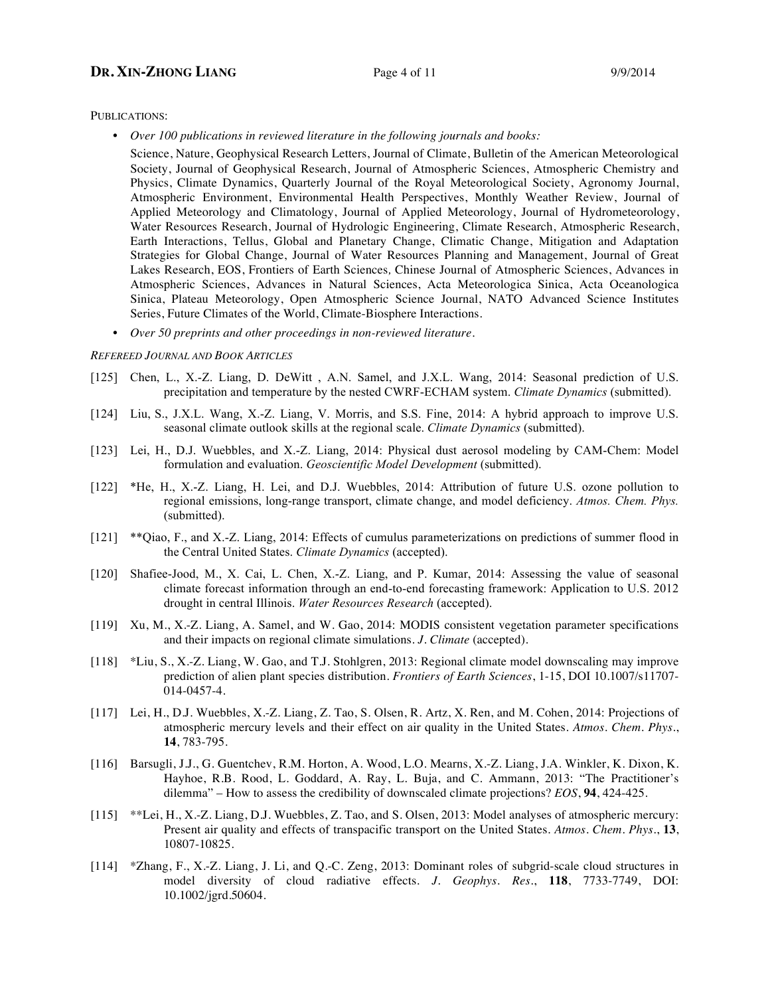# **DR.** XIN-ZHONG LIANG Page 4 of 11 9/9/2014

PUBLICATIONS:

• *Over 100 publications in reviewed literature in the following journals and books:*

Science, Nature, Geophysical Research Letters, Journal of Climate, Bulletin of the American Meteorological Society, Journal of Geophysical Research, Journal of Atmospheric Sciences, Atmospheric Chemistry and Physics, Climate Dynamics, Quarterly Journal of the Royal Meteorological Society, Agronomy Journal, Atmospheric Environment, Environmental Health Perspectives, Monthly Weather Review, Journal of Applied Meteorology and Climatology, Journal of Applied Meteorology, Journal of Hydrometeorology, Water Resources Research, Journal of Hydrologic Engineering, Climate Research, Atmospheric Research, Earth Interactions, Tellus, Global and Planetary Change, Climatic Change, Mitigation and Adaptation Strategies for Global Change, Journal of Water Resources Planning and Management, Journal of Great Lakes Research, EOS, Frontiers of Earth Sciences*,* Chinese Journal of Atmospheric Sciences, Advances in Atmospheric Sciences, Advances in Natural Sciences, Acta Meteorologica Sinica, Acta Oceanologica Sinica, Plateau Meteorology, Open Atmospheric Science Journal, NATO Advanced Science Institutes Series, Future Climates of the World, Climate-Biosphere Interactions.

• *Over 50 preprints and other proceedings in non-reviewed literature.*

#### *REFEREED JOURNAL AND BOOK ARTICLES*

- [125] Chen, L., X.-Z. Liang, D. DeWitt, A.N. Samel, and J.X.L. Wang, 2014: Seasonal prediction of U.S. precipitation and temperature by the nested CWRF-ECHAM system. *Climate Dynamics* (submitted).
- [124] Liu, S., J.X.L. Wang, X.-Z. Liang, V. Morris, and S.S. Fine, 2014: A hybrid approach to improve U.S. seasonal climate outlook skills at the regional scale. *Climate Dynamics* (submitted).
- [123] Lei, H., D.J. Wuebbles, and X.-Z. Liang, 2014: Physical dust aerosol modeling by CAM-Chem: Model formulation and evaluation. *Geoscientific Model Development* (submitted).
- [122] \*He, H., X.-Z. Liang, H. Lei, and D.J. Wuebbles, 2014: Attribution of future U.S. ozone pollution to regional emissions, long-range transport, climate change, and model deficiency. *Atmos. Chem. Phys.*  (submitted).
- [121] \*\*Qiao, F., and X.-Z. Liang, 2014: Effects of cumulus parameterizations on predictions of summer flood in the Central United States. *Climate Dynamics* (accepted).
- [120] Shafiee-Jood, M., X. Cai, L. Chen, X.-Z. Liang, and P. Kumar, 2014: Assessing the value of seasonal climate forecast information through an end-to-end forecasting framework: Application to U.S. 2012 drought in central Illinois. *Water Resources Research* (accepted).
- [119] Xu, M., X.-Z. Liang, A. Samel, and W. Gao, 2014: MODIS consistent vegetation parameter specifications and their impacts on regional climate simulations. *J. Climate* (accepted).
- [118] \*Liu, S., X.-Z. Liang, W. Gao, and T.J. Stohlgren, 2013: Regional climate model downscaling may improve prediction of alien plant species distribution. *Frontiers of Earth Sciences*, 1-15, DOI 10.1007/s11707- 014-0457-4.
- [117] Lei, H., D.J. Wuebbles, X.-Z. Liang, Z. Tao, S. Olsen, R. Artz, X. Ren, and M. Cohen, 2014: Projections of atmospheric mercury levels and their effect on air quality in the United States. *Atmos. Chem. Phys.*, **14**, 783-795.
- [116] Barsugli, J.J., G. Guentchev, R.M. Horton, A. Wood, L.O. Mearns, X.-Z. Liang, J.A. Winkler, K. Dixon, K. Hayhoe, R.B. Rood, L. Goddard, A. Ray, L. Buja, and C. Ammann, 2013: "The Practitioner's dilemma" – How to assess the credibility of downscaled climate projections? *EOS*, **94**, 424-425.
- [115] \*\*Lei, H., X.-Z. Liang, D.J. Wuebbles, Z. Tao, and S. Olsen, 2013: Model analyses of atmospheric mercury: Present air quality and effects of transpacific transport on the United States. *Atmos. Chem. Phys.*, **13**, 10807-10825.
- [114] \*Zhang, F., X.-Z. Liang, J. Li, and Q.-C. Zeng, 2013: Dominant roles of subgrid-scale cloud structures in model diversity of cloud radiative effects. *J. Geophys. Res.*, **118**, 7733-7749, DOI: 10.1002/jgrd.50604.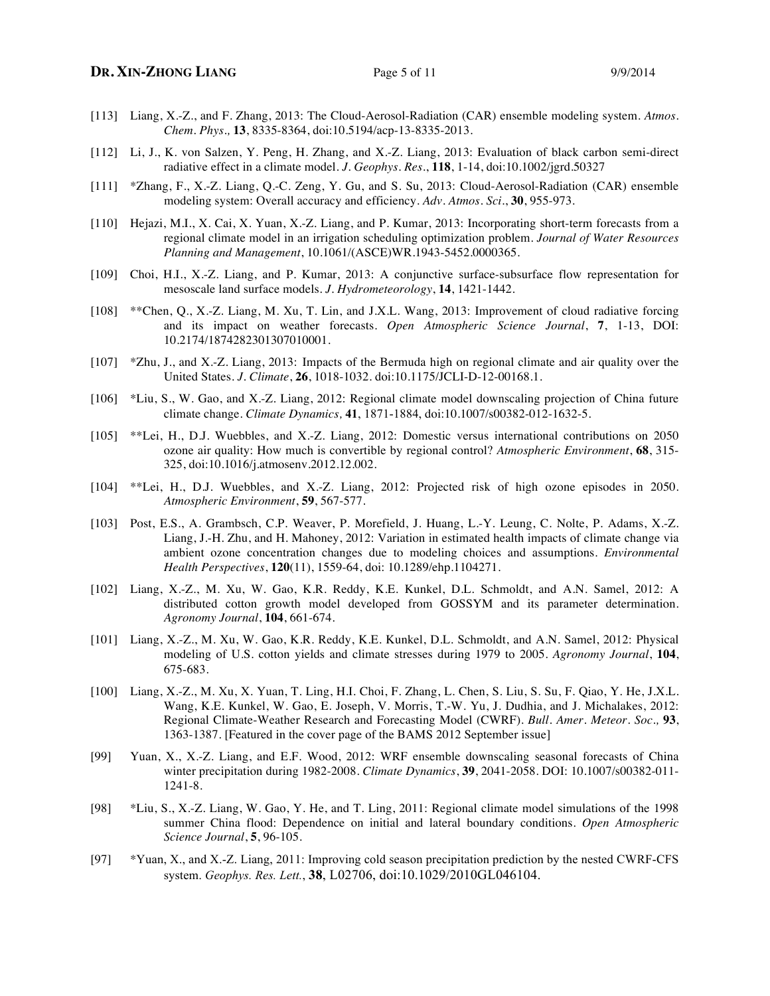- [113] Liang, X.-Z., and F. Zhang, 2013: The Cloud-Aerosol-Radiation (CAR) ensemble modeling system. *Atmos. Chem. Phys.,* **13**, 8335-8364, doi:10.5194/acp-13-8335-2013.
- [112] Li, J., K. von Salzen, Y. Peng, H. Zhang, and X.-Z. Liang, 2013: Evaluation of black carbon semi-direct radiative effect in a climate model. *J. Geophys. Res.*, **118**, 1-14, doi:10.1002/jgrd.50327
- [111] \*Zhang, F., X.-Z. Liang, Q.-C. Zeng, Y. Gu, and S. Su, 2013: Cloud-Aerosol-Radiation (CAR) ensemble modeling system: Overall accuracy and efficiency. *Adv. Atmos. Sci.*, **30**, 955-973.
- [110] Hejazi, M.I., X. Cai, X. Yuan, X.-Z. Liang, and P. Kumar, 2013: Incorporating short-term forecasts from a regional climate model in an irrigation scheduling optimization problem. *Journal of Water Resources Planning and Management*, 10.1061/(ASCE)WR.1943-5452.0000365.
- [109] Choi, H.I., X.-Z. Liang, and P. Kumar, 2013: A conjunctive surface-subsurface flow representation for mesoscale land surface models. *J. Hydrometeorology*, **14**, 1421-1442.
- [108] \*\*Chen, Q., X.-Z. Liang, M. Xu, T. Lin, and J.X.L. Wang, 2013: Improvement of cloud radiative forcing and its impact on weather forecasts. *Open Atmospheric Science Journal*, **7**, 1-13, DOI: 10.2174/1874282301307010001.
- [107] \*Zhu, J., and X.-Z. Liang, 2013: Impacts of the Bermuda high on regional climate and air quality over the United States. *J. Climate*, **26**, 1018-1032. doi:10.1175/JCLI-D-12-00168.1.
- [106] \*Liu, S., W. Gao, and X.-Z. Liang, 2012: Regional climate model downscaling projection of China future climate change. *Climate Dynamics,* **41**, 1871-1884, doi:10.1007/s00382-012-1632-5.
- [105] \*\*Lei, H., D.J. Wuebbles, and X.-Z. Liang, 2012: Domestic versus international contributions on 2050 ozone air quality: How much is convertible by regional control? *Atmospheric Environment*, **68**, 315- 325, doi:10.1016/j.atmosenv.2012.12.002.
- [104] \*\*Lei, H., D.J. Wuebbles, and X.-Z. Liang, 2012: Projected risk of high ozone episodes in 2050. *Atmospheric Environment*, **59**, 567-577.
- [103] Post, E.S., A. Grambsch, C.P. Weaver, P. Morefield, J. Huang, L.-Y. Leung, C. Nolte, P. Adams, X.-Z. Liang, J.-H. Zhu, and H. Mahoney, 2012: Variation in estimated health impacts of climate change via ambient ozone concentration changes due to modeling choices and assumptions. *Environmental Health Perspectives*, **120**(11), 1559-64, doi: 10.1289/ehp.1104271.
- [102] Liang, X.-Z., M. Xu, W. Gao, K.R. Reddy, K.E. Kunkel, D.L. Schmoldt, and A.N. Samel, 2012: A distributed cotton growth model developed from GOSSYM and its parameter determination. *Agronomy Journal*, **104**, 661-674.
- [101] Liang, X.-Z., M. Xu, W. Gao, K.R. Reddy, K.E. Kunkel, D.L. Schmoldt, and A.N. Samel, 2012: Physical modeling of U.S. cotton yields and climate stresses during 1979 to 2005. *Agronomy Journal*, **104**, 675-683.
- [100] Liang, X.-Z., M. Xu, X. Yuan, T. Ling, H.I. Choi, F. Zhang, L. Chen, S. Liu, S. Su, F. Qiao, Y. He, J.X.L. Wang, K.E. Kunkel, W. Gao, E. Joseph, V. Morris, T.-W. Yu, J. Dudhia, and J. Michalakes, 2012: Regional Climate-Weather Research and Forecasting Model (CWRF). *Bull. Amer. Meteor. Soc.,* **93**, 1363-1387. [Featured in the cover page of the BAMS 2012 September issue]
- [99] Yuan, X., X.-Z. Liang, and E.F. Wood, 2012: WRF ensemble downscaling seasonal forecasts of China winter precipitation during 1982-2008. *Climate Dynamics*, **39**, 2041-2058. DOI: 10.1007/s00382-011- 1241-8.
- [98] \*Liu, S., X.-Z. Liang, W. Gao, Y. He, and T. Ling, 2011: Regional climate model simulations of the 1998 summer China flood: Dependence on initial and lateral boundary conditions. *Open Atmospheric Science Journal*, **5**, 96-105.
- [97] \*Yuan, X., and X.-Z. Liang, 2011: Improving cold season precipitation prediction by the nested CWRF-CFS system. *Geophys. Res. Lett.*, **38**, L02706, doi:10.1029/2010GL046104.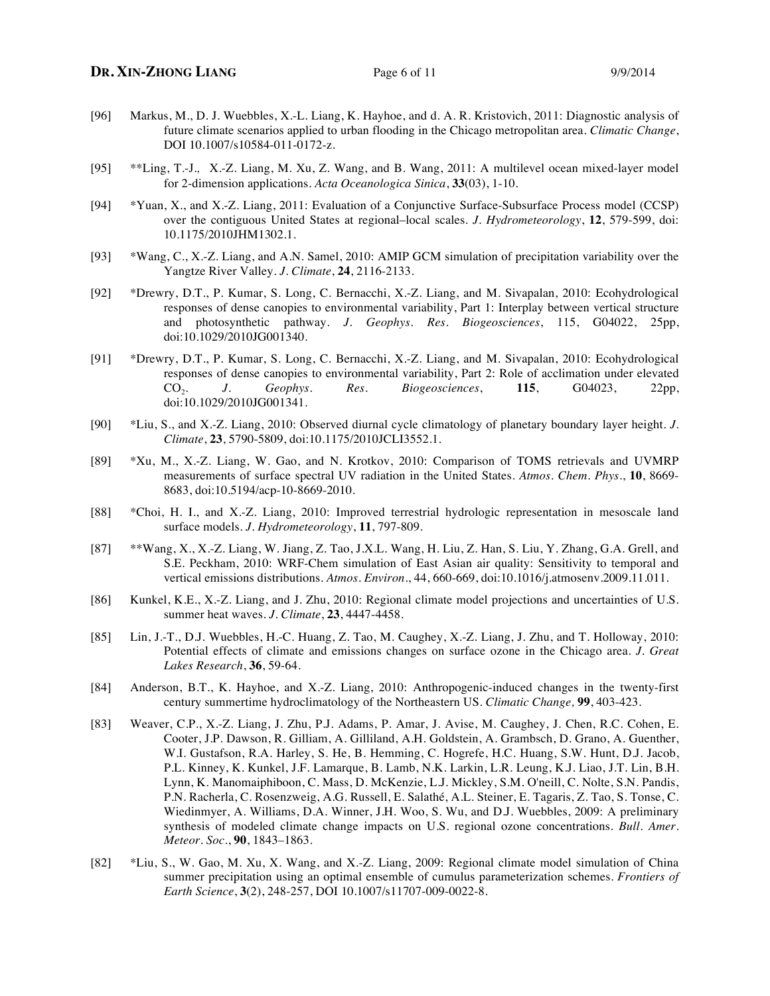# **DR.** XIN-ZHONG LIANG Page 6 of 11 9/9/2014

- [96] Markus, M., D. J. Wuebbles, X.-L. Liang, K. Hayhoe, and d. A. R. Kristovich, 2011: Diagnostic analysis of future climate scenarios applied to urban flooding in the Chicago metropolitan area. *Climatic Change*, DOI 10.1007/s10584-011-0172-z.
- [95] \*\*Ling, T.-J.,X.-Z. Liang, M. Xu, Z. Wang, and B. Wang, 2011: A multilevel ocean mixed-layer model for 2-dimension applications. *Acta Oceanologica Sinica*, **33**(03), 1-10.
- [94] \*Yuan, X., and X.-Z. Liang, 2011: Evaluation of a Conjunctive Surface-Subsurface Process model (CCSP) over the contiguous United States at regional–local scales. *J. Hydrometeorology*, **12**, 579-599, doi: 10.1175/2010JHM1302.1.
- [93] \*Wang, C., X.-Z. Liang, and A.N. Samel, 2010: AMIP GCM simulation of precipitation variability over the Yangtze River Valley. *J. Climate*, **24**, 2116-2133.
- [92] \*Drewry, D.T., P. Kumar, S. Long, C. Bernacchi, X.-Z. Liang, and M. Sivapalan, 2010: Ecohydrological responses of dense canopies to environmental variability, Part 1: Interplay between vertical structure and photosynthetic pathway. *J. Geophys. Res. Biogeosciences*, 115, G04022, 25pp, doi:10.1029/2010JG001340.
- [91] \*Drewry, D.T., P. Kumar, S. Long, C. Bernacchi, X.-Z. Liang, and M. Sivapalan, 2010: Ecohydrological responses of dense canopies to environmental variability, Part 2: Role of acclimation under elevated CO2. *J. Geophys. Res. Biogeosciences*, **115**, G04023, 22pp, doi:10.1029/2010JG001341.
- [90] \*Liu, S., and X.-Z. Liang, 2010: Observed diurnal cycle climatology of planetary boundary layer height. *J. Climate*, **23**, 5790-5809, doi:10.1175/2010JCLI3552.1.
- [89] \*Xu, M., X.-Z. Liang, W. Gao, and N. Krotkov, 2010: Comparison of TOMS retrievals and UVMRP measurements of surface spectral UV radiation in the United States. *Atmos. Chem. Phys.*, **10**, 8669- 8683, doi:10.5194/acp-10-8669-2010.
- [88] \*Choi, H. I., and X.-Z. Liang, 2010: Improved terrestrial hydrologic representation in mesoscale land surface models. *J. Hydrometeorology*, **11**, 797-809.
- [87] \*\*Wang, X., X.-Z. Liang, W. Jiang, Z. Tao, J.X.L. Wang, H. Liu, Z. Han, S. Liu, Y. Zhang, G.A. Grell, and S.E. Peckham, 2010: WRF-Chem simulation of East Asian air quality: Sensitivity to temporal and vertical emissions distributions. *Atmos. Environ*., 44, 660-669, doi:10.1016/j.atmosenv.2009.11.011.
- [86] Kunkel, K.E., X.-Z. Liang, and J. Zhu, 2010: Regional climate model projections and uncertainties of U.S. summer heat waves. *J. Climate*, **23**, 4447-4458.
- [85] Lin, J.-T., D.J. Wuebbles, H.-C. Huang, Z. Tao, M. Caughey, X.-Z. Liang, J. Zhu, and T. Holloway, 2010: Potential effects of climate and emissions changes on surface ozone in the Chicago area. *J. Great Lakes Research*, **36**, 59-64.
- [84] Anderson, B.T., K. Hayhoe, and X.-Z. Liang, 2010: Anthropogenic-induced changes in the twenty-first century summertime hydroclimatology of the Northeastern US. *Climatic Change,* **99**, 403-423.
- [83] Weaver, C.P., X.-Z. Liang, J. Zhu, P.J. Adams, P. Amar, J. Avise, M. Caughey, J. Chen, R.C. Cohen, E. Cooter, J.P. Dawson, R. Gilliam, A. Gilliland, A.H. Goldstein, A. Grambsch, D. Grano, A. Guenther, W.I. Gustafson, R.A. Harley, S. He, B. Hemming, C. Hogrefe, H.C. Huang, S.W. Hunt, D.J. Jacob, P.L. Kinney, K. Kunkel, J.F. Lamarque, B. Lamb, N.K. Larkin, L.R. Leung, K.J. Liao, J.T. Lin, B.H. Lynn, K. Manomaiphiboon, C. Mass, D. McKenzie, L.J. Mickley, S.M. O'neill, C. Nolte, S.N. Pandis, P.N. Racherla, C. Rosenzweig, A.G. Russell, E. Salathé, A.L. Steiner, E. Tagaris, Z. Tao, S. Tonse, C. Wiedinmyer, A. Williams, D.A. Winner, J.H. Woo, S. Wu, and D.J. Wuebbles, 2009: A preliminary synthesis of modeled climate change impacts on U.S. regional ozone concentrations. *Bull. Amer. Meteor. Soc.*, **90**, 1843–1863.
- [82] \*Liu, S., W. Gao, M. Xu, X. Wang, and X.-Z. Liang, 2009: Regional climate model simulation of China summer precipitation using an optimal ensemble of cumulus parameterization schemes. *Frontiers of Earth Science*, **3**(2), 248-257, DOI 10.1007/s11707-009-0022-8.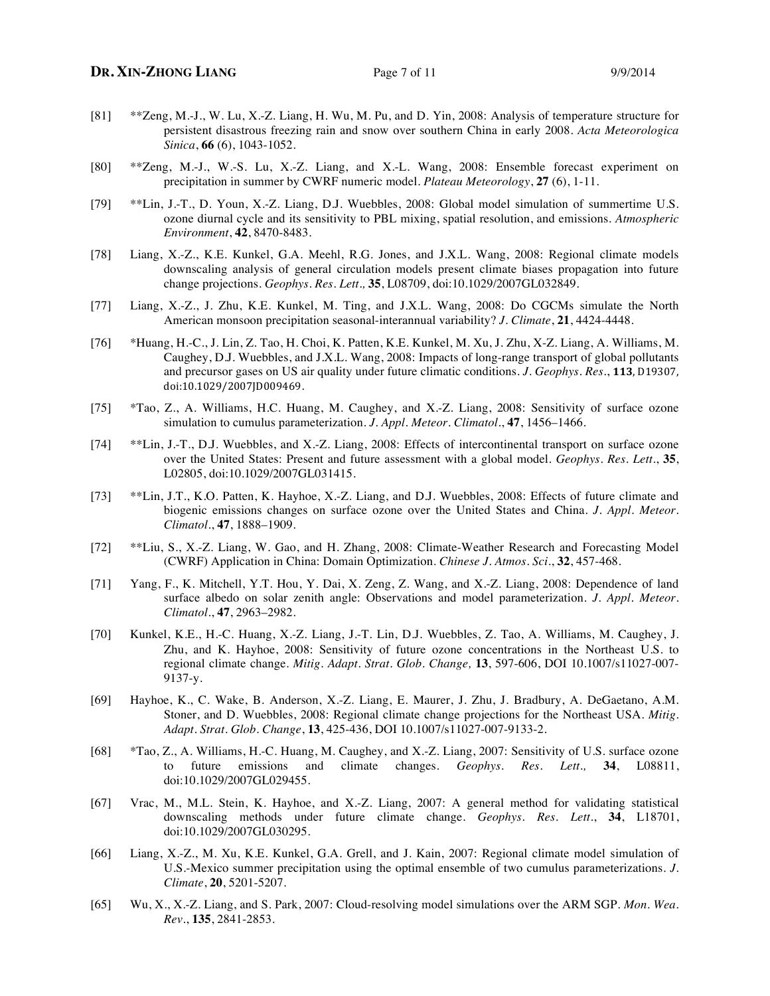- [81] \*\*Zeng, M.-J., W. Lu, X.-Z. Liang, H. Wu, M. Pu, and D. Yin, 2008: Analysis of temperature structure for persistent disastrous freezing rain and snow over southern China in early 2008. *Acta Meteorologica Sinica*, **66** (6), 1043-1052.
- [80] \*\*Zeng, M.-J., W.-S. Lu, X.-Z. Liang, and X.-L. Wang, 2008: Ensemble forecast experiment on precipitation in summer by CWRF numeric model. *Plateau Meteorology*, **27** (6), 1-11.
- [79] \*\*Lin, J.-T., D. Youn, X.-Z. Liang, D.J. Wuebbles, 2008: Global model simulation of summertime U.S. ozone diurnal cycle and its sensitivity to PBL mixing, spatial resolution, and emissions. *Atmospheric Environment*, **42**, 8470-8483.
- [78] Liang, X.-Z., K.E. Kunkel, G.A. Meehl, R.G. Jones, and J.X.L. Wang, 2008: Regional climate models downscaling analysis of general circulation models present climate biases propagation into future change projections. *Geophys. Res. Lett.,* **35**, L08709, doi:10.1029/2007GL032849.
- [77] Liang, X.-Z., J. Zhu, K.E. Kunkel, M. Ting, and J.X.L. Wang, 2008: Do CGCMs simulate the North American monsoon precipitation seasonal-interannual variability? *J. Climate*, **21**, 4424-4448.
- [76] \*Huang, H.-C., J. Lin, Z. Tao, H. Choi, K. Patten, K.E. Kunkel, M. Xu, J. Zhu, X-Z. Liang, A. Williams, M. Caughey, D.J. Wuebbles, and J.X.L. Wang, 2008: Impacts of long-range transport of global pollutants and precursor gases on US air quality under future climatic conditions. *J. Geophys. Res.*, 113, D19307, doi:10.1029/2007JD009469.
- [75] \*Tao, Z., A. Williams, H.C. Huang, M. Caughey, and X.-Z. Liang, 2008: Sensitivity of surface ozone simulation to cumulus parameterization. *J. Appl. Meteor. Climatol.*, **47**, 1456–1466.
- [74] \*\*Lin, J.-T., D.J. Wuebbles, and X.-Z. Liang, 2008: Effects of intercontinental transport on surface ozone over the United States: Present and future assessment with a global model. *Geophys. Res. Lett.*, **35**, L02805, doi:10.1029/2007GL031415.
- [73] \*\*Lin, J.T., K.O. Patten, K. Hayhoe, X.-Z. Liang, and D.J. Wuebbles, 2008: Effects of future climate and biogenic emissions changes on surface ozone over the United States and China. *J. Appl. Meteor. Climatol.*, **47**, 1888–1909.
- [72] \*\*Liu, S., X.-Z. Liang, W. Gao, and H. Zhang, 2008: Climate-Weather Research and Forecasting Model (CWRF) Application in China: Domain Optimization. *Chinese J. Atmos. Sci*., **32**, 457-468.
- [71] Yang, F., K. Mitchell, Y.T. Hou, Y. Dai, X. Zeng, Z. Wang, and X.-Z. Liang, 2008: Dependence of land surface albedo on solar zenith angle: Observations and model parameterization. *J. Appl. Meteor. Climatol.*, **47**, 2963–2982.
- [70] Kunkel, K.E., H.-C. Huang, X.-Z. Liang, J.-T. Lin, D.J. Wuebbles, Z. Tao, A. Williams, M. Caughey, J. Zhu, and K. Hayhoe, 2008: Sensitivity of future ozone concentrations in the Northeast U.S. to regional climate change. *Mitig. Adapt. Strat. Glob. Change,* **13**, 597-606, DOI 10.1007/s11027-007- 9137-y.
- [69] Hayhoe, K., C. Wake, B. Anderson, X.-Z. Liang, E. Maurer, J. Zhu, J. Bradbury, A. DeGaetano, A.M. Stoner, and D. Wuebbles, 2008: Regional climate change projections for the Northeast USA. *Mitig. Adapt. Strat. Glob. Change*, **13**, 425-436, DOI 10.1007/s11027-007-9133-2.
- [68] \*Tao, Z., A. Williams, H.-C. Huang, M. Caughey, and X.-Z. Liang, 2007: Sensitivity of U.S. surface ozone to future emissions and climate changes. *Geophys. Res. Lett.,* **34**, L08811, doi:10.1029/2007GL029455.
- [67] Vrac, M., M.L. Stein, K. Hayhoe, and X.-Z. Liang, 2007: A general method for validating statistical downscaling methods under future climate change. *Geophys. Res. Lett*., **34**, L18701, doi:10.1029/2007GL030295.
- [66] Liang, X.-Z., M. Xu, K.E. Kunkel, G.A. Grell, and J. Kain, 2007: Regional climate model simulation of U.S.-Mexico summer precipitation using the optimal ensemble of two cumulus parameterizations. *J. Climate*, **20**, 5201-5207.
- [65] Wu, X., X.-Z. Liang, and S. Park, 2007: Cloud-resolving model simulations over the ARM SGP. *Mon. Wea. Rev.*, **135**, 2841-2853.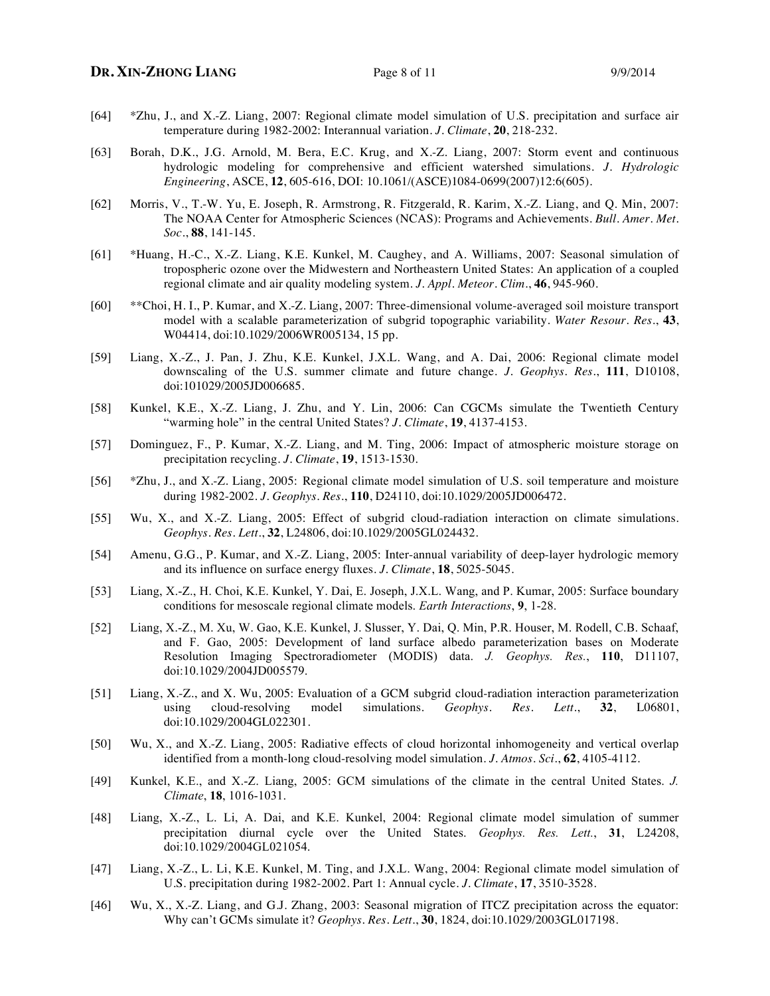- [64] \*Zhu, J., and X.-Z. Liang, 2007: Regional climate model simulation of U.S. precipitation and surface air temperature during 1982-2002: Interannual variation. *J. Climate*, **20**, 218-232.
- [63] Borah, D.K., J.G. Arnold, M. Bera, E.C. Krug, and X.-Z. Liang, 2007: Storm event and continuous hydrologic modeling for comprehensive and efficient watershed simulations. *J. Hydrologic Engineering*, ASCE, **12**, 605-616, DOI: 10.1061/(ASCE)1084-0699(2007)12:6(605).
- [62] Morris, V., T.-W. Yu, E. Joseph, R. Armstrong, R. Fitzgerald, R. Karim, X.-Z. Liang, and Q. Min, 2007: The NOAA Center for Atmospheric Sciences (NCAS): Programs and Achievements. *Bull. Amer. Met. Soc.*, **88**, 141-145.
- [61] \*Huang, H.-C., X.-Z. Liang, K.E. Kunkel, M. Caughey, and A. Williams, 2007: Seasonal simulation of tropospheric ozone over the Midwestern and Northeastern United States: An application of a coupled regional climate and air quality modeling system. *J. Appl. Meteor. Clim.*, **46**, 945-960.
- [60] \*\*Choi, H. I., P. Kumar, and X.-Z. Liang, 2007: Three-dimensional volume-averaged soil moisture transport model with a scalable parameterization of subgrid topographic variability. *Water Resour. Res*., **43**, W04414, doi:10.1029/2006WR005134, 15 pp.
- [59] Liang, X.-Z., J. Pan, J. Zhu, K.E. Kunkel, J.X.L. Wang, and A. Dai, 2006: Regional climate model downscaling of the U.S. summer climate and future change. *J. Geophys. Res.*, **111**, D10108, doi:101029/2005JD006685.
- [58] Kunkel, K.E., X.-Z. Liang, J. Zhu, and Y. Lin, 2006: Can CGCMs simulate the Twentieth Century "warming hole" in the central United States? *J. Climate*, **19**, 4137-4153.
- [57] Dominguez, F., P. Kumar, X.-Z. Liang, and M. Ting, 2006: Impact of atmospheric moisture storage on precipitation recycling. *J. Climate*, **19**, 1513-1530.
- [56] \*Zhu, J., and X.-Z. Liang, 2005: Regional climate model simulation of U.S. soil temperature and moisture during 1982-2002. *J. Geophys. Res*., **110**, D24110, doi:10.1029/2005JD006472.
- [55] Wu, X., and X.-Z. Liang, 2005: Effect of subgrid cloud-radiation interaction on climate simulations. *Geophys. Res. Lett*., **32**, L24806, doi:10.1029/2005GL024432.
- [54] Amenu, G.G., P. Kumar, and X.-Z. Liang, 2005: Inter-annual variability of deep-layer hydrologic memory and its influence on surface energy fluxes. *J. Climate*, **18**, 5025-5045.
- [53] Liang, X.-Z., H. Choi, K.E. Kunkel, Y. Dai, E. Joseph, J.X.L. Wang, and P. Kumar, 2005: Surface boundary conditions for mesoscale regional climate models. *Earth Interactions*, **9**, 1-28.
- [52] Liang, X.-Z., M. Xu, W. Gao, K.E. Kunkel, J. Slusser, Y. Dai, Q. Min, P.R. Houser, M. Rodell, C.B. Schaaf, and F. Gao, 2005: Development of land surface albedo parameterization bases on Moderate Resolution Imaging Spectroradiometer (MODIS) data. *J. Geophys. Res.*, **110**, D11107, doi:10.1029/2004JD005579.
- [51] Liang, X.-Z., and X. Wu, 2005: Evaluation of a GCM subgrid cloud-radiation interaction parameterization using cloud-resolving model simulations. *Geophys. Res. Lett.*, **32**, L06801, doi:10.1029/2004GL022301.
- [50] Wu, X., and X.-Z. Liang, 2005: Radiative effects of cloud horizontal inhomogeneity and vertical overlap identified from a month-long cloud-resolving model simulation. *J. Atmos. Sci.*, **62**, 4105-4112.
- [49] Kunkel, K.E., and X.-Z. Liang, 2005: GCM simulations of the climate in the central United States. *J. Climate*, **18**, 1016-1031.
- [48] Liang, X.-Z., L. Li, A. Dai, and K.E. Kunkel, 2004: Regional climate model simulation of summer precipitation diurnal cycle over the United States. *Geophys. Res. Lett.*, **31**, L24208, doi:10.1029/2004GL021054.
- [47] Liang, X.-Z., L. Li, K.E. Kunkel, M. Ting, and J.X.L. Wang, 2004: Regional climate model simulation of U.S. precipitation during 1982-2002. Part 1: Annual cycle. *J. Climate*, **17**, 3510-3528.
- [46] Wu, X., X.-Z. Liang, and G.J. Zhang, 2003: Seasonal migration of ITCZ precipitation across the equator: Why can't GCMs simulate it? *Geophys. Res. Lett.*, **30**, 1824, doi:10.1029/2003GL017198.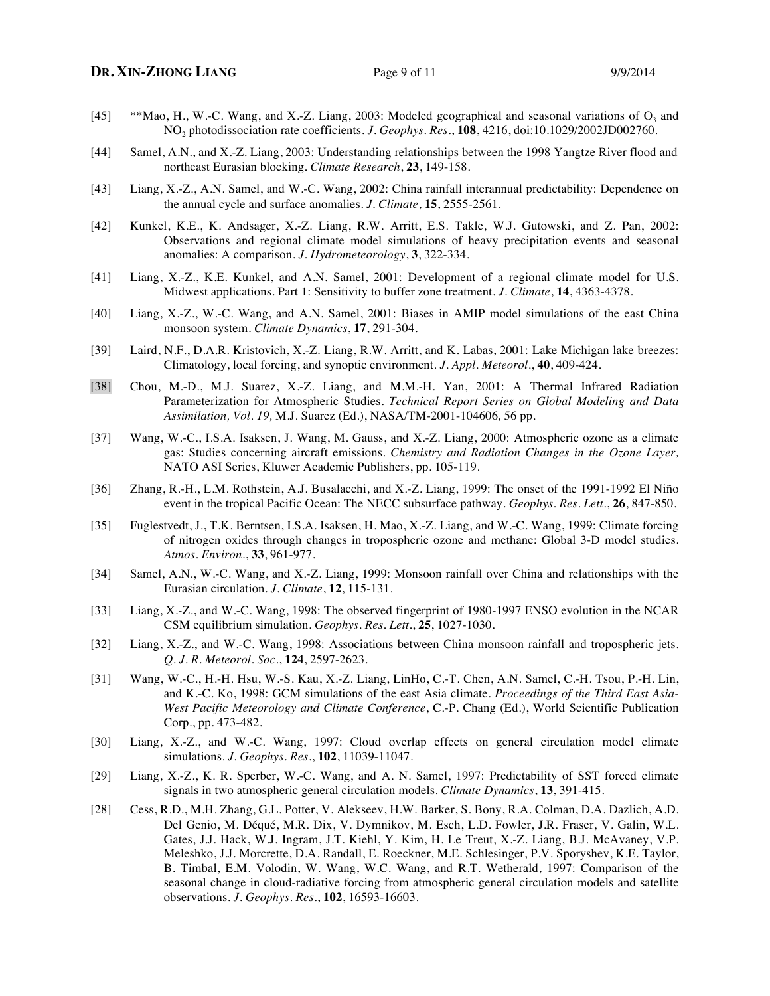- [45] \*\*Mao, H., W.-C. Wang, and X.-Z. Liang, 2003: Modeled geographical and seasonal variations of  $O_3$  and NO2 photodissociation rate coefficients. *J. Geophys. Res.*, **108**, 4216, doi:10.1029/2002JD002760.
- [44] Samel, A.N., and X.-Z. Liang, 2003: Understanding relationships between the 1998 Yangtze River flood and northeast Eurasian blocking. *Climate Research*, **23**, 149-158.
- [43] Liang, X.-Z., A.N. Samel, and W.-C. Wang, 2002: China rainfall interannual predictability: Dependence on the annual cycle and surface anomalies. *J. Climate*, **15**, 2555-2561.
- [42] Kunkel, K.E., K. Andsager, X.-Z. Liang, R.W. Arritt, E.S. Takle, W.J. Gutowski, and Z. Pan, 2002: Observations and regional climate model simulations of heavy precipitation events and seasonal anomalies: A comparison. *J. Hydrometeorology*, **3**, 322-334.
- [41] Liang, X.-Z., K.E. Kunkel, and A.N. Samel, 2001: Development of a regional climate model for U.S. Midwest applications. Part 1: Sensitivity to buffer zone treatment. *J. Climate*, **14**, 4363-4378.
- [40] Liang, X.-Z., W.-C. Wang, and A.N. Samel, 2001: Biases in AMIP model simulations of the east China monsoon system. *Climate Dynamics*, **17**, 291-304.
- [39] Laird, N.F., D.A.R. Kristovich, X.-Z. Liang, R.W. Arritt, and K. Labas, 2001: Lake Michigan lake breezes: Climatology, local forcing, and synoptic environment. *J. Appl. Meteorol.*, **40**, 409-424.
- [38] Chou, M.-D., M.J. Suarez, X.-Z. Liang, and M.M.-H. Yan, 2001: A Thermal Infrared Radiation Parameterization for Atmospheric Studies. *Technical Report Series on Global Modeling and Data Assimilation, Vol. 19,* M.J. Suarez (Ed.), NASA/TM-2001-104606*,* 56 pp.
- [37] Wang, W.-C., I.S.A. Isaksen, J. Wang, M. Gauss, and X.-Z. Liang, 2000: Atmospheric ozone as a climate gas: Studies concerning aircraft emissions. *Chemistry and Radiation Changes in the Ozone Layer,*  NATO ASI Series, Kluwer Academic Publishers, pp. 105-119.
- [36] Zhang, R.-H., L.M. Rothstein, A.J. Busalacchi, and X.-Z. Liang, 1999: The onset of the 1991-1992 El Niño event in the tropical Pacific Ocean: The NECC subsurface pathway. *Geophys. Res. Lett.*, **26**, 847-850.
- [35] Fuglestvedt, J., T.K. Berntsen, I.S.A. Isaksen, H. Mao, X.-Z. Liang, and W.-C. Wang, 1999: Climate forcing of nitrogen oxides through changes in tropospheric ozone and methane: Global 3-D model studies. *Atmos. Environ.*, **33**, 961-977.
- [34] Samel, A.N., W.-C. Wang, and X.-Z. Liang, 1999: Monsoon rainfall over China and relationships with the Eurasian circulation. *J. Climate*, **12**, 115-131.
- [33] Liang, X.-Z., and W.-C. Wang, 1998: The observed fingerprint of 1980-1997 ENSO evolution in the NCAR CSM equilibrium simulation. *Geophys. Res. Lett.*, **25**, 1027-1030.
- [32] Liang, X.-Z., and W.-C. Wang, 1998: Associations between China monsoon rainfall and tropospheric jets. *Q. J. R. Meteorol. Soc.*, **124**, 2597-2623.
- [31] Wang, W.-C., H.-H. Hsu, W.-S. Kau, X.-Z. Liang, LinHo, C.-T. Chen, A.N. Samel, C.-H. Tsou, P.-H. Lin, and K.-C. Ko, 1998: GCM simulations of the east Asia climate. *Proceedings of the Third East Asia-West Pacific Meteorology and Climate Conference*, C.-P. Chang (Ed.), World Scientific Publication Corp., pp. 473-482.
- [30] Liang, X.-Z., and W.-C. Wang, 1997: Cloud overlap effects on general circulation model climate simulations. *J. Geophys. Res.*, **102**, 11039-11047.
- [29] Liang, X.-Z., K. R. Sperber, W.-C. Wang, and A. N. Samel, 1997: Predictability of SST forced climate signals in two atmospheric general circulation models. *Climate Dynamics*, **13**, 391-415.
- [28] Cess, R.D., M.H. Zhang, G.L. Potter, V. Alekseev, H.W. Barker, S. Bony, R.A. Colman, D.A. Dazlich, A.D. Del Genio, M. Déqué, M.R. Dix, V. Dymnikov, M. Esch, L.D. Fowler, J.R. Fraser, V. Galin, W.L. Gates, J.J. Hack, W.J. Ingram, J.T. Kiehl, Y. Kim, H. Le Treut, X.-Z. Liang, B.J. McAvaney, V.P. Meleshko, J.J. Morcrette, D.A. Randall, E. Roeckner, M.E. Schlesinger, P.V. Sporyshev, K.E. Taylor, B. Timbal, E.M. Volodin, W. Wang, W.C. Wang, and R.T. Wetherald, 1997: Comparison of the seasonal change in cloud-radiative forcing from atmospheric general circulation models and satellite observations. *J. Geophys. Res.*, **102**, 16593-16603.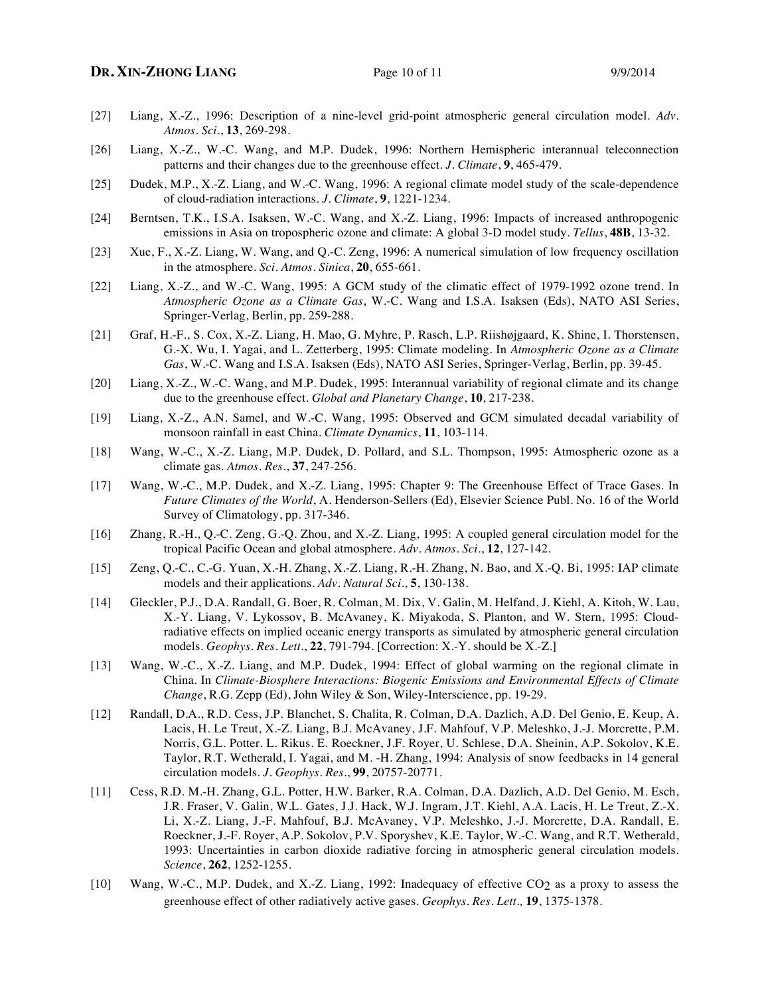# **DR.** XIN-ZHONG LIANG Page 10 of 11 9/9/2014

- [27] Liang, X.-Z., 1996: Description of a nine-level grid-point atmospheric general circulation model. *Adv. Atmos. Sci.*, **13**, 269-298.
- [26] Liang, X.-Z., W.-C. Wang, and M.P. Dudek, 1996: Northern Hemispheric interannual teleconnection patterns and their changes due to the greenhouse effect. *J. Climate*, **9**, 465-479.
- [25] Dudek, M.P., X.-Z. Liang, and W.-C. Wang, 1996: A regional climate model study of the scale-dependence of cloud-radiation interactions. *J. Climate*, **9**, 1221-1234.
- [24] Berntsen, T.K., I.S.A. Isaksen, W.-C. Wang, and X.-Z. Liang, 1996: Impacts of increased anthropogenic emissions in Asia on tropospheric ozone and climate: A global 3-D model study. *Tellus*, **48B**, 13-32.
- [23] Xue, F., X.-Z. Liang, W. Wang, and Q.-C. Zeng, 1996: A numerical simulation of low frequency oscillation in the atmosphere. *Sci. Atmos. Sinica*, **20**, 655-661.
- [22] Liang, X.-Z., and W.-C. Wang, 1995: A GCM study of the climatic effect of 1979-1992 ozone trend. In *Atmospheric Ozone as a Climate Gas*, W.-C. Wang and I.S.A. Isaksen (Eds), NATO ASI Series, Springer-Verlag, Berlin, pp. 259-288.
- [21] Graf, H.-F., S. Cox, X.-Z. Liang, H. Mao, G. Myhre, P. Rasch, L.P. Riishøjgaard, K. Shine, I. Thorstensen, G.-X. Wu, I. Yagai, and L. Zetterberg, 1995: Climate modeling. In *Atmospheric Ozone as a Climate Gas*, W.-C. Wang and I.S.A. Isaksen (Eds), NATO ASI Series, Springer-Verlag, Berlin, pp. 39-45.
- [20] Liang, X.-Z., W.-C. Wang, and M.P. Dudek, 1995: Interannual variability of regional climate and its change due to the greenhouse effect. *Global and Planetary Change*, **10**, 217-238.
- [19] Liang, X.-Z., A.N. Samel, and W.-C. Wang, 1995: Observed and GCM simulated decadal variability of monsoon rainfall in east China. *Climate Dynamics*, **11**, 103-114.
- [18] Wang, W.-C., X.-Z. Liang, M.P. Dudek, D. Pollard, and S.L. Thompson, 1995: Atmospheric ozone as a climate gas. *Atmos. Res.*, **37**, 247-256.
- [17] Wang, W.-C., M.P. Dudek, and X.-Z. Liang, 1995: Chapter 9: The Greenhouse Effect of Trace Gases. In *Future Climates of the World*, A. Henderson-Sellers (Ed), Elsevier Science Publ. No. 16 of the World Survey of Climatology, pp. 317-346.
- [16] Zhang, R.-H., Q.-C. Zeng, G.-Q. Zhou, and X.-Z. Liang, 1995: A coupled general circulation model for the tropical Pacific Ocean and global atmosphere. *Adv. Atmos. Sci.*, **12**, 127-142.
- [15] Zeng, Q.-C., C.-G. Yuan, X.-H. Zhang, X.-Z. Liang, R.-H. Zhang, N. Bao, and X.-Q. Bi, 1995: IAP climate models and their applications. *Adv. Natural Sci.*, **5**, 130-138.
- [14] Gleckler, P.J., D.A. Randall, G. Boer, R. Colman, M. Dix, V. Galin, M. Helfand, J. Kiehl, A. Kitoh, W. Lau, X.-Y. Liang, V. Lykossov, B. McAvaney, K. Miyakoda, S. Planton, and W. Stern, 1995: Cloudradiative effects on implied oceanic energy transports as simulated by atmospheric general circulation models. *Geophys. Res. Lett.*, **22**, 791-794. [Correction: X.-Y. should be X.-Z.]
- [13] Wang, W.-C., X.-Z. Liang, and M.P. Dudek, 1994: Effect of global warming on the regional climate in China. In *Climate-Biosphere Interactions: Biogenic Emissions and Environmental Effects of Climate Change*, R.G. Zepp (Ed), John Wiley & Son, Wiley-Interscience, pp. 19-29.
- [12] Randall, D.A., R.D. Cess, J.P. Blanchet, S. Chalita, R. Colman, D.A. Dazlich, A.D. Del Genio, E. Keup, A. Lacis, H. Le Treut, X.-Z. Liang, B.J. McAvaney, J.F. Mahfouf, V.P. Meleshko, J.-J. Morcrette, P.M. Norris, G.L. Potter. L. Rikus. E. Roeckner, J.F. Royer, U. Schlese, D.A. Sheinin, A.P. Sokolov, K.E. Taylor, R.T. Wetherald, I. Yagai, and M. -H. Zhang, 1994: Analysis of snow feedbacks in 14 general circulation models. *J. Geophys. Res.*, **99**, 20757-20771.
- [11] Cess, R.D. M.-H. Zhang, G.L. Potter, H.W. Barker, R.A. Colman, D.A. Dazlich, A.D. Del Genio, M. Esch, J.R. Fraser, V. Galin, W.L. Gates, J.J. Hack, W.J. Ingram, J.T. Kiehl, A.A. Lacis, H. Le Treut, Z.-X. Li, X.-Z. Liang, J.-F. Mahfouf, B.J. McAvaney, V.P. Meleshko, J.-J. Morcrette, D.A. Randall, E. Roeckner, J.-F. Royer, A.P. Sokolov, P.V. Sporyshev, K.E. Taylor, W.-C. Wang, and R.T. Wetherald, 1993: Uncertainties in carbon dioxide radiative forcing in atmospheric general circulation models. *Science*, **262**, 1252-1255.
- [10] Wang, W.-C., M.P. Dudek, and X.-Z. Liang, 1992: Inadequacy of effective CO2 as a proxy to assess the greenhouse effect of other radiatively active gases. *Geophys. Res. Lett.,* **19**, 1375-1378.